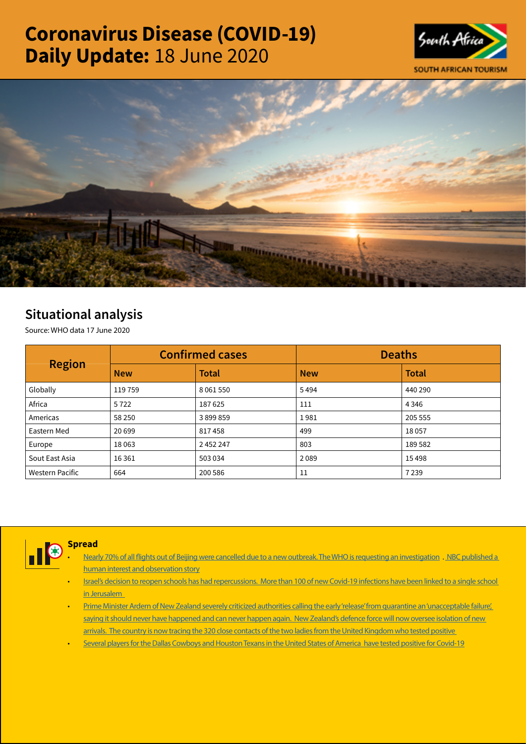# Coronavirus Disease (COVID-19) Daily Update: 18 June 2020





# Situational analysis

Source: WHO data 17 June 2020

| <b>Region</b>   |            | <b>Confirmed cases</b> | <b>Deaths</b> |              |  |
|-----------------|------------|------------------------|---------------|--------------|--|
|                 | <b>New</b> | <b>Total</b>           | <b>New</b>    | <b>Total</b> |  |
| Globally        | 119759     | 8 0 6 1 5 5 0          | 5494          | 440 290      |  |
| Africa          | 5722       | 187625                 | 111           | 4 3 4 6      |  |
| Americas        | 58 250     | 3899859                | 1981          | 205 555      |  |
| Eastern Med     | 20 699     | 817458                 | 499           | 18057        |  |
| Europe          | 18063      | 2 452 247              | 803           | 189 582      |  |
| Sout East Asia  | 16 3 61    | 503 034                | 2089          | 15498        |  |
| Western Pacific | 664        | 200 586                | 11            | 7239         |  |



# Spread

- [Nearly 70% of all flights out of Beijing were cancelled due to a new outbreak. The WHO is requesting an investigation](https://t.co/0L1hnGJe2A?amp=1) . [NBC published a](https://t.co/x0bTFvUqdA?amp=1)  [human interest and observation story](https://t.co/x0bTFvUqdA?amp=1)
- [Israel's decision to reopen schools has had repercussions. More than 100 of new Covid-19 infections have been linked to a single school](https://t.co/MhNd9EQwKl?amp=1)  [in Jerusalem](https://t.co/MhNd9EQwKl?amp=1)
- [Prime Minister Ardern of New Zealand severely criticized authorities calling the early 'release' from quarantine an 'unacceptable failure',](https://www.axios.com/new-zealand-military-quarantine-border-f4ef1b4e-7019-4433-91fc-9c063ed2b0ae.html)  saying it should never have happened and can never happen again. New Zealand's defence force will now oversee isolation of new arrivals. The country is now tracing the 320 close contacts of the two ladies from the United Kingdom who tested positive
- [Several players for the Dallas Cowboys and Houston Texans in the United States of America have tested positive for Covid-19](https://t.co/FHdQoZxuak?amp=1)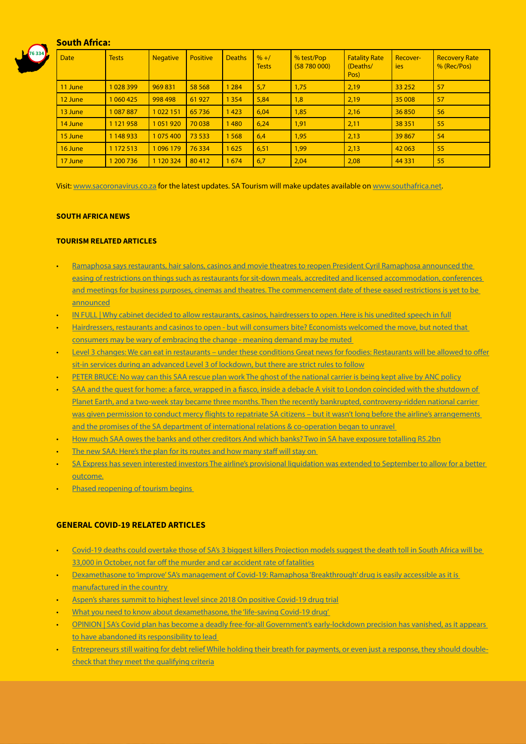# South Africa:



| <b>Date</b> | <b>Tests</b>  | <b>Negative</b> | <b>Positive</b> | <b>Deaths</b> | $\frac{9}{6}$ +/<br><b>Tests</b> | % test/Pop<br>(58780000) | <b>Fatality Rate</b><br>(Deaths/<br>Pos) | Recover-<br>ies <sup>1</sup> | <b>Recovery Rate</b><br>% (Rec/Pos) |
|-------------|---------------|-----------------|-----------------|---------------|----------------------------------|--------------------------|------------------------------------------|------------------------------|-------------------------------------|
| 11 June     | 1028399       | 969831          | 58 5 68         | 1 2 8 4       | 5,7                              | 1,75                     | 2,19                                     | 33 25 2                      | 57                                  |
| 12 June     | 1 060 425     | 998 498         | 61927           | 1 3 5 4       | 5,84                             | 1,8                      | 2,19                                     | 35 008                       | 57                                  |
| 13 June     | 1 087 887     | 1022151         | 65736           | 1423          | 6,04                             | 1,85                     | 2,16                                     | 36850                        | 56                                  |
| 14 June     | 1 1 2 1 9 5 8 | 1051920         | 70 038          | 1480          | 6,24                             | 1,91                     | 2,11                                     | 38 351                       | 55                                  |
| 15 June     | 1 148 933     | 1075400         | 73 533          | 1568          | 6,4                              | 1,95                     | 2,13                                     | 39867                        | 54                                  |
| 16 June     | 1 172 513     | 1096179         | 76 334          | 1625          | 6,51                             | 1,99                     | 2,13                                     | 42 063                       | 55                                  |
| 17 June     | 1 200 7 36    | 1 1 2 0 3 2 4   | 80412           | 1674          | 6,7                              | 2,04                     | 2,08                                     | 44 3 31                      | 55                                  |

Visit: [www.sacoronavirus.co.za](http://www.sacoronavirus.co.za) for the latest updates. SA Tourism will make updates available on [www.southafrica.net.](http://www.southafrica.net)

#### SOUTH AFRICA NEWS

## TOURISM RELATED ARTICLES

- [Ramaphosa says restaurants, hair salons, casinos and movie theatres to reopen President Cyril Ramaphosa announced the](https://www.timeslive.co.za/news/south-africa/2020-06-17-ramaphosa-says-restaurants-hair-salons-casinos-and-movie-theatres-to-re-open/)  [easing of restrictions on things such as restaurants for sit-down meals, accredited and licensed accommodation, conferences](https://www.timeslive.co.za/news/south-africa/2020-06-17-ramaphosa-says-restaurants-hair-salons-casinos-and-movie-theatres-to-re-open/)  [and meetings for business purposes, cinemas and theatres. The commencement date of these eased restrictions is yet to be](https://www.timeslive.co.za/news/south-africa/2020-06-17-ramaphosa-says-restaurants-hair-salons-casinos-and-movie-theatres-to-re-open/)  [announced](https://www.timeslive.co.za/news/south-africa/2020-06-17-ramaphosa-says-restaurants-hair-salons-casinos-and-movie-theatres-to-re-open/)
- [IN FULL | Why cabinet decided to allow restaurants, casinos, hairdressers to open. Here is his unedited speech in full](https://www.timeslive.co.za/news/south-africa/2020-06-17-in-full-why-cabinet-decided-to-allow-restaurants-casinos-hairdressers-to-open/)
- [Hairdressers, restaurants and casinos to open but will consumers bite? Economists welcomed the move, but noted that](https://www.news24.com/fin24/economy/south-africa/hairdressers-restaurants-and-casinos-to-open-but-will-consumers-bite-20200617)  [consumers may be wary of embracing the change - meaning demand may be muted](https://www.news24.com/fin24/economy/south-africa/hairdressers-restaurants-and-casinos-to-open-but-will-consumers-bite-20200617)
- Level 3 changes: We can eat in restaurants under these conditions Great news for foodies: Restaurants will be allowed to offer [sit-in services during an advanced Level 3 of lockdown, but there are strict rules to follow](https://www.thesouthafrican.com/news/advanced-level-3-changes-new-rules-restaurants-when-open-sit-in/)
- [PETER BRUCE: No way can this SAA rescue plan work The ghost of the national carrier is being kept alive by ANC policy](https://www.businesslive.co.za/bd/opinion/columnists/2020-06-17-peter-bruce-no-way-can-this-saa-rescue-plan-work/)
- SAA and the quest for home: a farce, wrapped in a fiasco, inside a debacle A visit to London coincided with the shutdown of [Planet Earth, and a two-week stay became three months. Then the recently bankrupted, controversy-ridden national carrier](https://www.businesslive.co.za/bd/opinion/columnists/2020-06-17-peter-bruce-no-way-can-this-saa-rescue-plan-work/)  was given permission to conduct mercy flights to repatriate SA citizens – but it wasn't long before the airline's arrangements [and the promises of the SA department of international relations & co-operation began to unravel](https://www.businesslive.co.za/bd/opinion/columnists/2020-06-17-peter-bruce-no-way-can-this-saa-rescue-plan-work/)
- [How much SAA owes the banks and other creditors And which banks? Two in SA have exposure totalling R5.2bn](https://www.moneyweb.co.za/news/companies-and-deals/how-much-saa-owes-the-banks-and-other-creditors/)
- The new SAA: Here's the plan for its routes and how many staff will stay on
- [SA Express has seven interested investors The airline's provisional liquidation was extended to September to allow for a better](https://www.moneyweb.co.za/news/companies-and-deals/sa-express-has-seven-interested-investors/)  [outcome.](https://www.moneyweb.co.za/news/companies-and-deals/sa-express-has-seven-interested-investors/)
- Phased reopening of tourism begins

#### GENERAL COVID-19 RELATED ARTICLES

- [Covid-19 deaths could overtake those of SA's 3 biggest killers Projection models suggest the death toll in South Africa will be](https://citizen.co.za/premium/2304436/covid-19-deaths-could-overtake-those-of-sas-3-biggest-killers/)  [33,000 in October, not far off the murder and car accident rate of fatalities](https://citizen.co.za/premium/2304436/covid-19-deaths-could-overtake-those-of-sas-3-biggest-killers/)
- [Dexamethasone to 'improve' SA's management of Covid-19: Ramaphosa 'Breakthrough' drug is easily accessible as it is](https://www.timeslive.co.za/politics/2020-06-17-dexamethasone-to-improve-sas-management-of-covid-19-ramaphosa/)  [manufactured in the country](https://www.timeslive.co.za/politics/2020-06-17-dexamethasone-to-improve-sas-management-of-covid-19-ramaphosa/)
- [Aspen's shares summit to highest level since 2018 On positive Covid-19 drug trial](https://www.moneyweb.co.za/news/companies-and-deals/aspens-shares-summit-to-highest-level-since-2018/)
- [What you need to know about dexamethasone, the 'life-saving Covid-19 drug'](https://www.timeslive.co.za/news/south-africa/2020-06-17-what-you-need-to-know-about-dexamethasone-the-life-saving-covid-19-drug/)
- [OPINION | SA's Covid plan has become a deadly free-for-all Government's early-lockdown precision has vanished, as it appears](https://select.timeslive.co.za/ideas/2020-06-18-opinion-sas-covid-plan-has-become-a-deadly-free-for-all/)  [to have abandoned its responsibility to lead](https://select.timeslive.co.za/ideas/2020-06-18-opinion-sas-covid-plan-has-become-a-deadly-free-for-all/)
- [Entrepreneurs still waiting for debt relief While holding their breath for payments, or even just a response, they should double](https://www.moneyweb.co.za/mybusiness/entrepreneurs-still-waiting-for-debt-relief/)[check that they meet the qualifying criteria](https://www.moneyweb.co.za/mybusiness/entrepreneurs-still-waiting-for-debt-relief/)